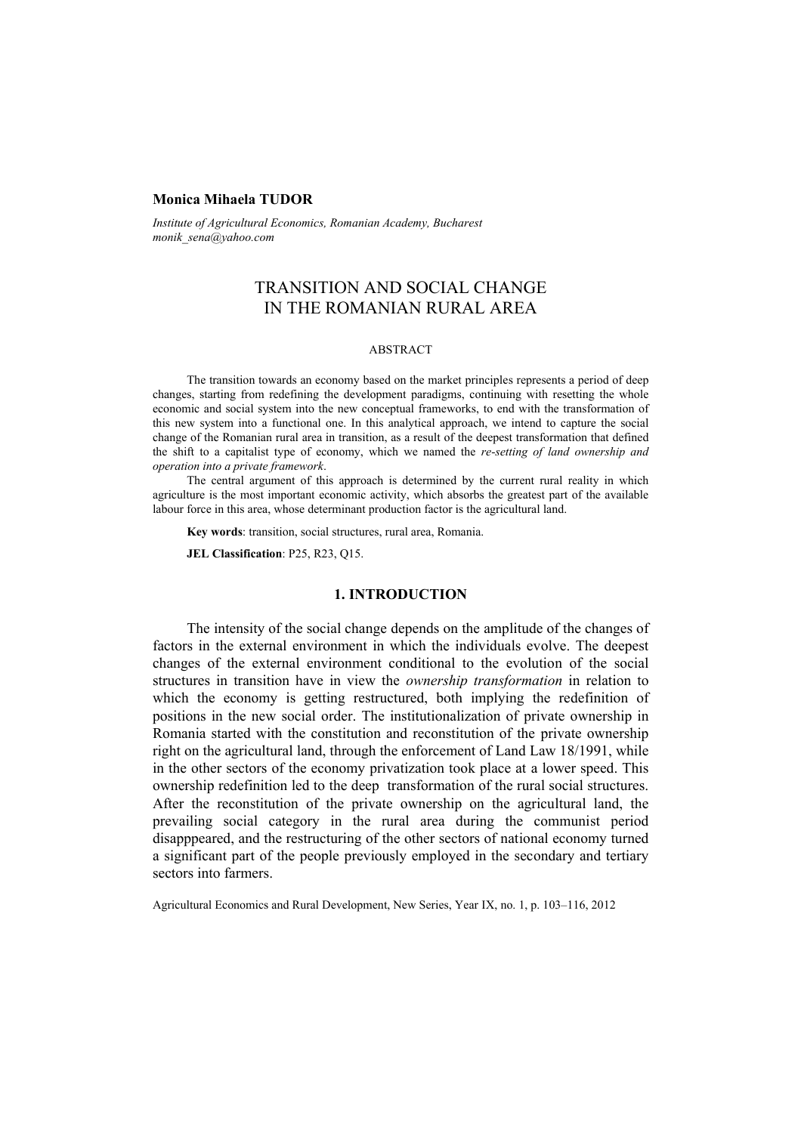#### **Monica Mihaela TUDOR**

*Institute of Agricultural Economics, Romanian Academy, Bucharest monik\_sena@yahoo.com* 

# TRANSITION AND SOCIAL CHANGE IN THE ROMANIAN RURAL AREA

### ABSTRACT

The transition towards an economy based on the market principles represents a period of deep changes, starting from redefining the development paradigms, continuing with resetting the whole economic and social system into the new conceptual frameworks, to end with the transformation of this new system into a functional one. In this analytical approach, we intend to capture the social change of the Romanian rural area in transition, as a result of the deepest transformation that defined the shift to a capitalist type of economy, which we named the *re-setting of land ownership and operation into a private framework*.

The central argument of this approach is determined by the current rural reality in which agriculture is the most important economic activity, which absorbs the greatest part of the available labour force in this area, whose determinant production factor is the agricultural land.

**Key words**: transition, social structures, rural area, Romania.

**JEL Classification**: P25, R23, Q15.

#### **1. INTRODUCTION**

The intensity of the social change depends on the amplitude of the changes of factors in the external environment in which the individuals evolve. The deepest changes of the external environment conditional to the evolution of the social structures in transition have in view the *ownership transformation* in relation to which the economy is getting restructured, both implying the redefinition of positions in the new social order. The institutionalization of private ownership in Romania started with the constitution and reconstitution of the private ownership right on the agricultural land, through the enforcement of Land Law 18/1991, while in the other sectors of the economy privatization took place at a lower speed. This ownership redefinition led to the deep transformation of the rural social structures. After the reconstitution of the private ownership on the agricultural land, the prevailing social category in the rural area during the communist period disapppeared, and the restructuring of the other sectors of national economy turned a significant part of the people previously employed in the secondary and tertiary sectors into farmers.

Agricultural Economics and Rural Development, New Series, Year IX, no. 1, p. 103–116, 2012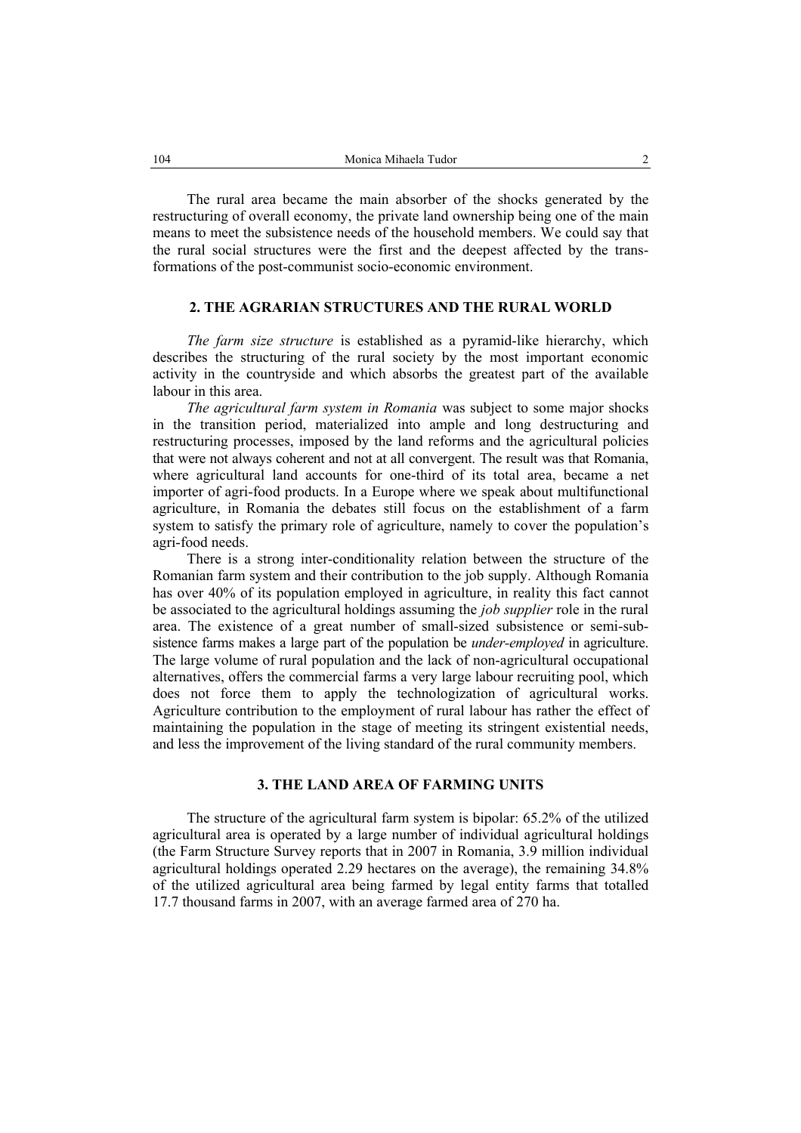The rural area became the main absorber of the shocks generated by the restructuring of overall economy, the private land ownership being one of the main means to meet the subsistence needs of the household members. We could say that the rural social structures were the first and the deepest affected by the transformations of the post-communist socio-economic environment.

### **2. THE AGRARIAN STRUCTURES AND THE RURAL WORLD**

*The farm size structure* is established as a pyramid-like hierarchy, which describes the structuring of the rural society by the most important economic activity in the countryside and which absorbs the greatest part of the available labour in this area.

*The agricultural farm system in Romania* was subject to some major shocks in the transition period, materialized into ample and long destructuring and restructuring processes, imposed by the land reforms and the agricultural policies that were not always coherent and not at all convergent. The result was that Romania, where agricultural land accounts for one-third of its total area, became a net importer of agri-food products. In a Europe where we speak about multifunctional agriculture, in Romania the debates still focus on the establishment of a farm system to satisfy the primary role of agriculture, namely to cover the population's agri-food needs.

There is a strong inter-conditionality relation between the structure of the Romanian farm system and their contribution to the job supply. Although Romania has over 40% of its population employed in agriculture, in reality this fact cannot be associated to the agricultural holdings assuming the *job supplier* role in the rural area. The existence of a great number of small-sized subsistence or semi-subsistence farms makes a large part of the population be *under-employed* in agriculture. The large volume of rural population and the lack of non-agricultural occupational alternatives, offers the commercial farms a very large labour recruiting pool, which does not force them to apply the technologization of agricultural works. Agriculture contribution to the employment of rural labour has rather the effect of maintaining the population in the stage of meeting its stringent existential needs, and less the improvement of the living standard of the rural community members.

### **3. THE LAND AREA OF FARMING UNITS**

The structure of the agricultural farm system is bipolar: 65.2% of the utilized agricultural area is operated by a large number of individual agricultural holdings (the Farm Structure Survey reports that in 2007 in Romania, 3.9 million individual agricultural holdings operated 2.29 hectares on the average), the remaining 34.8% of the utilized agricultural area being farmed by legal entity farms that totalled 17.7 thousand farms in 2007, with an average farmed area of 270 ha.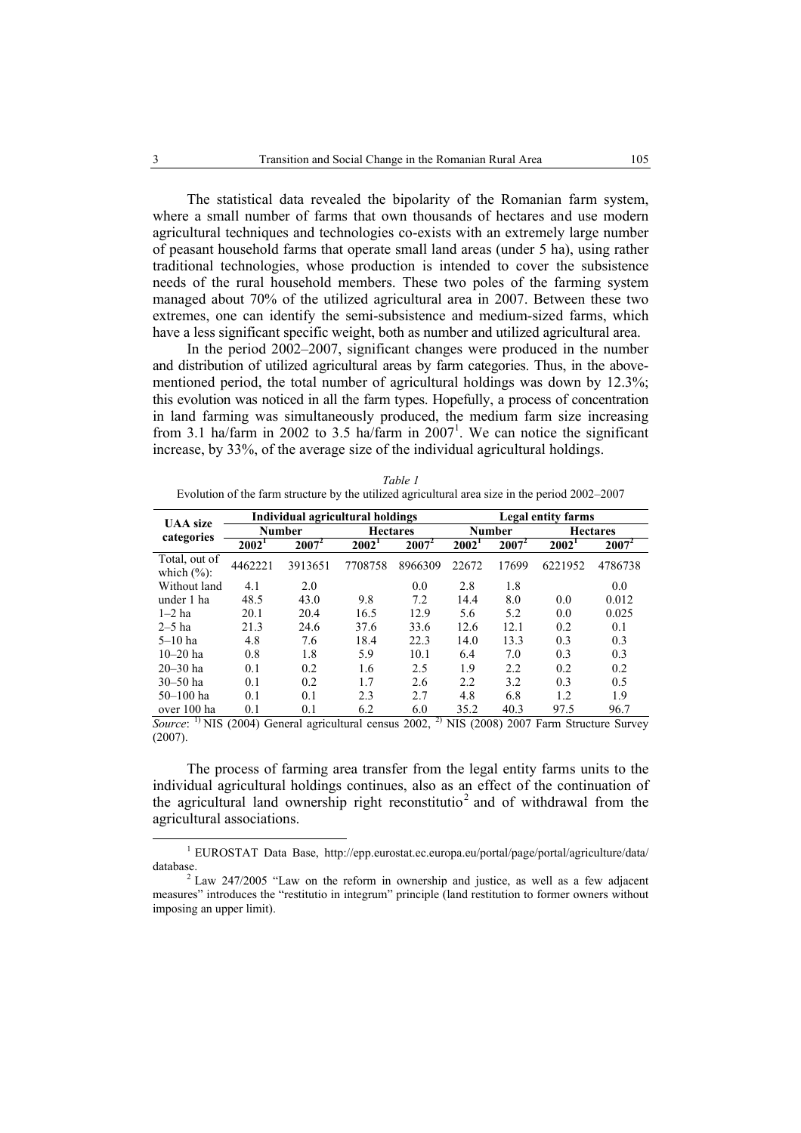The statistical data revealed the bipolarity of the Romanian farm system, where a small number of farms that own thousands of hectares and use modern agricultural techniques and technologies co-exists with an extremely large number of peasant household farms that operate small land areas (under 5 ha), using rather traditional technologies, whose production is intended to cover the subsistence needs of the rural household members. These two poles of the farming system managed about 70% of the utilized agricultural area in 2007. Between these two extremes, one can identify the semi-subsistence and medium-sized farms, which have a less significant specific weight, both as number and utilized agricultural area.

In the period 2002–2007, significant changes were produced in the number and distribution of utilized agricultural areas by farm categories. Thus, in the abovementioned period, the total number of agricultural holdings was down by 12.3%; this evolution was noticed in all the farm types. Hopefully, a process of concentration in land farming was simultaneously produced, the medium farm size increasing from 3.1 ha/farm in 2002 to 3.5 ha/farm in  $2007<sup>1</sup>$ . We can notice the significant increase, by 33%, of the average size of the individual agricultural holdings.

| Table 1                                                                                        |
|------------------------------------------------------------------------------------------------|
| Evolution of the farm structure by the utilized agricultural area size in the period 2002–2007 |

| <b>UAA</b> size                 |                   | Individual agricultural holdings |                   |                 |                   | Legal entity farms |                   |                 |  |
|---------------------------------|-------------------|----------------------------------|-------------------|-----------------|-------------------|--------------------|-------------------|-----------------|--|
| categories                      | <b>Number</b>     |                                  |                   | <b>Hectares</b> |                   | Number             |                   | <b>Hectares</b> |  |
|                                 | 2002 <sup>1</sup> | $2007^2$                         | 2002 <sup>1</sup> | $2007^2$        | 2002 <sup>1</sup> | $2007^2$           | 2002 <sup>1</sup> | $2007^2$        |  |
| Total, out of<br>which $(\%)$ : | 4462221           | 3913651                          | 7708758           | 8966309         | 22672             | 17699              | 6221952           | 4786738         |  |
| Without land                    | 4.1               | 2.0                              |                   | 0.0             | 2.8               | 1.8                |                   | 0.0             |  |
| under 1 ha                      | 48.5              | 43.0                             | 9.8               | 7.2             | 14.4              | 8.0                | 0.0               | 0.012           |  |
| $1-2$ ha                        | 20.1              | 20.4                             | 16.5              | 12.9            | 5.6               | 5.2                | 0.0               | 0.025           |  |
| $2-5$ ha                        | 21.3              | 24.6                             | 37.6              | 33.6            | 12.6              | 12.1               | 0.2               | 0.1             |  |
| $5-10$ ha                       | 4.8               | 7.6                              | 18.4              | 22.3            | 14.0              | 13.3               | 0.3               | 0.3             |  |
| $10 - 20$ ha                    | 0.8               | 1.8                              | 5.9               | 10.1            | 6.4               | 7.0                | 0.3               | 0.3             |  |
| $20 - 30$ ha                    | 0.1               | 0.2                              | 1.6               | 2.5             | 1.9               | 2.2                | 0.2               | 0.2             |  |
| $30 - 50$ ha                    | 0.1               | 0.2                              | 1.7               | 2.6             | 2.2               | 3.2                | 0.3               | 0.5             |  |
| $50 - 100$ ha                   | 0.1               | 0.1                              | 2.3               | 2.7             | 4.8               | 6.8                | 1.2               | 1.9             |  |
| over 100 ha                     | 0.1               | 0.1                              | 6.2               | 6.0             | 35.2              | 40.3               | 97.5              | 96.7            |  |

*Source*: <sup>1)</sup> NIS (2004) General agricultural census 2002, <sup>2)</sup> NIS (2008) 2007 Farm Structure Survey (2007).

The process of farming area transfer from the legal entity farms units to the individual agricultural holdings continues, also as an effect of the continuation of the agricultural land ownership right reconstitutio<sup>2</sup> and of withdrawal from the agricultural associations.

 $\frac{1}{1}$  EUROSTAT Data Base, http://epp.eurostat.ec.europa.eu/portal/page/portal/agriculture/data/ database.

 $2$  Law 247/2005 "Law on the reform in ownership and justice, as well as a few adjacent measures" introduces the "restitutio in integrum" principle (land restitution to former owners without imposing an upper limit).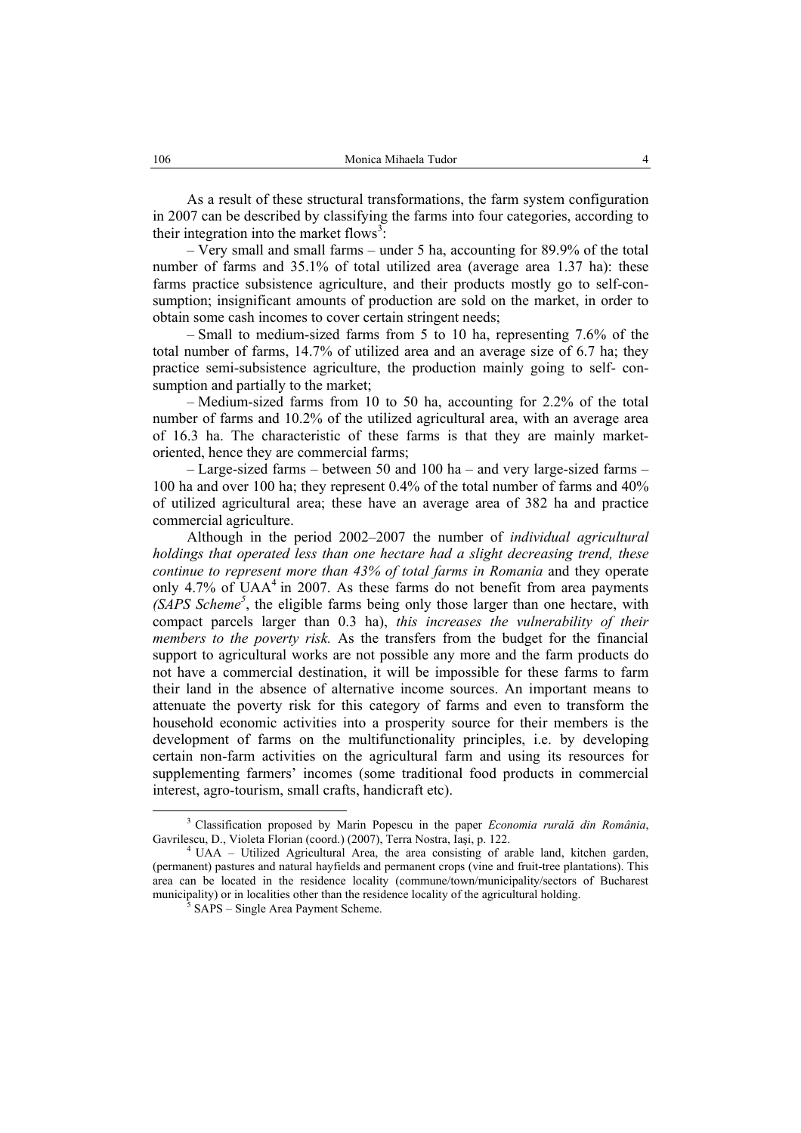As a result of these structural transformations, the farm system configuration in 2007 can be described by classifying the farms into four categories, according to their integration into the market flows<sup>3</sup>:

– Very small and small farms – under 5 ha, accounting for 89.9% of the total number of farms and 35.1% of total utilized area (average area 1.37 ha): these farms practice subsistence agriculture, and their products mostly go to self-consumption; insignificant amounts of production are sold on the market, in order to obtain some cash incomes to cover certain stringent needs;

– Small to medium-sized farms from 5 to 10 ha, representing 7.6% of the total number of farms, 14.7% of utilized area and an average size of 6.7 ha; they practice semi-subsistence agriculture, the production mainly going to self- consumption and partially to the market;

– Medium-sized farms from 10 to 50 ha, accounting for 2.2% of the total number of farms and 10.2% of the utilized agricultural area, with an average area of 16.3 ha. The characteristic of these farms is that they are mainly marketoriented, hence they are commercial farms;

– Large-sized farms – between 50 and 100 ha – and very large-sized farms – 100 ha and over 100 ha; they represent 0.4% of the total number of farms and 40% of utilized agricultural area; these have an average area of 382 ha and practice commercial agriculture.

Although in the period 2002–2007 the number of *individual agricultural holdings that operated less than one hectare had a slight decreasing trend, these continue to represent more than 43% of total farms in Romania* and they operate only 4.7% of  $UAA<sup>4</sup>$  in 2007. As these farms do not benefit from area payments *(SAPS Scheme<sup>5</sup>* , the eligible farms being only those larger than one hectare, with compact parcels larger than 0.3 ha), *this increases the vulnerability of their members to the poverty risk.* As the transfers from the budget for the financial support to agricultural works are not possible any more and the farm products do not have a commercial destination, it will be impossible for these farms to farm their land in the absence of alternative income sources. An important means to attenuate the poverty risk for this category of farms and even to transform the household economic activities into a prosperity source for their members is the development of farms on the multifunctionality principles, i.e. by developing certain non-farm activities on the agricultural farm and using its resources for supplementing farmers' incomes (some traditional food products in commercial interest, agro-tourism, small crafts, handicraft etc).

 $\frac{3}{3}$  Classification proposed by Marin Popescu in the paper *Economia rurală din România*, Gavrilescu, D., Violeta Florian (coord.) (2007), Terra Nostra, Iași, p. 122.<br><sup>4</sup> UAA – Utilized Agricultural Area, the area consisting of arable land, kitchen garden,

<sup>(</sup>permanent) pastures and natural hayfields and permanent crops (vine and fruit-tree plantations). This area can be located in the residence locality (commune/town/municipality/sectors of Bucharest municipality) or in localities other than the residence locality of the agricultural holding.

SAPS – Single Area Payment Scheme.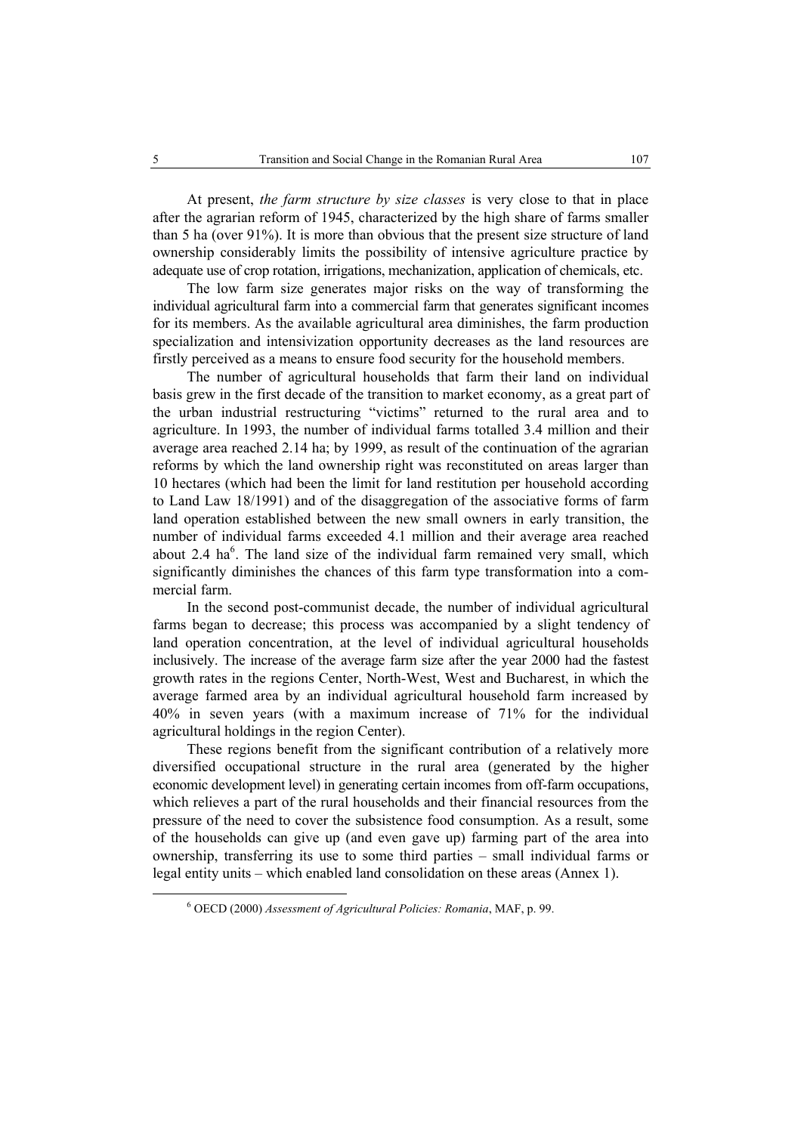At present, *the farm structure by size classes* is very close to that in place after the agrarian reform of 1945, characterized by the high share of farms smaller than 5 ha (over 91%). It is more than obvious that the present size structure of land ownership considerably limits the possibility of intensive agriculture practice by adequate use of crop rotation, irrigations, mechanization, application of chemicals, etc.

The low farm size generates major risks on the way of transforming the individual agricultural farm into a commercial farm that generates significant incomes for its members. As the available agricultural area diminishes, the farm production specialization and intensivization opportunity decreases as the land resources are firstly perceived as a means to ensure food security for the household members.

The number of agricultural households that farm their land on individual basis grew in the first decade of the transition to market economy, as a great part of the urban industrial restructuring "victims" returned to the rural area and to agriculture. In 1993, the number of individual farms totalled 3.4 million and their average area reached 2.14 ha; by 1999, as result of the continuation of the agrarian reforms by which the land ownership right was reconstituted on areas larger than 10 hectares (which had been the limit for land restitution per household according to Land Law 18/1991) and of the disaggregation of the associative forms of farm land operation established between the new small owners in early transition, the number of individual farms exceeded 4.1 million and their average area reached about  $2.4 \text{ ha}^6$ . The land size of the individual farm remained very small, which significantly diminishes the chances of this farm type transformation into a commercial farm.

In the second post-communist decade, the number of individual agricultural farms began to decrease; this process was accompanied by a slight tendency of land operation concentration, at the level of individual agricultural households inclusively. The increase of the average farm size after the year 2000 had the fastest growth rates in the regions Center, North-West, West and Bucharest, in which the average farmed area by an individual agricultural household farm increased by 40% in seven years (with a maximum increase of 71% for the individual agricultural holdings in the region Center).

These regions benefit from the significant contribution of a relatively more diversified occupational structure in the rural area (generated by the higher economic development level) in generating certain incomes from off-farm occupations, which relieves a part of the rural households and their financial resources from the pressure of the need to cover the subsistence food consumption. As a result, some of the households can give up (and even gave up) farming part of the area into ownership, transferring its use to some third parties – small individual farms or legal entity units – which enabled land consolidation on these areas (Annex 1).

 $\overline{6}$ OECD (2000) *Assessment of Agricultural Policies: Romania*, MAF, p. 99.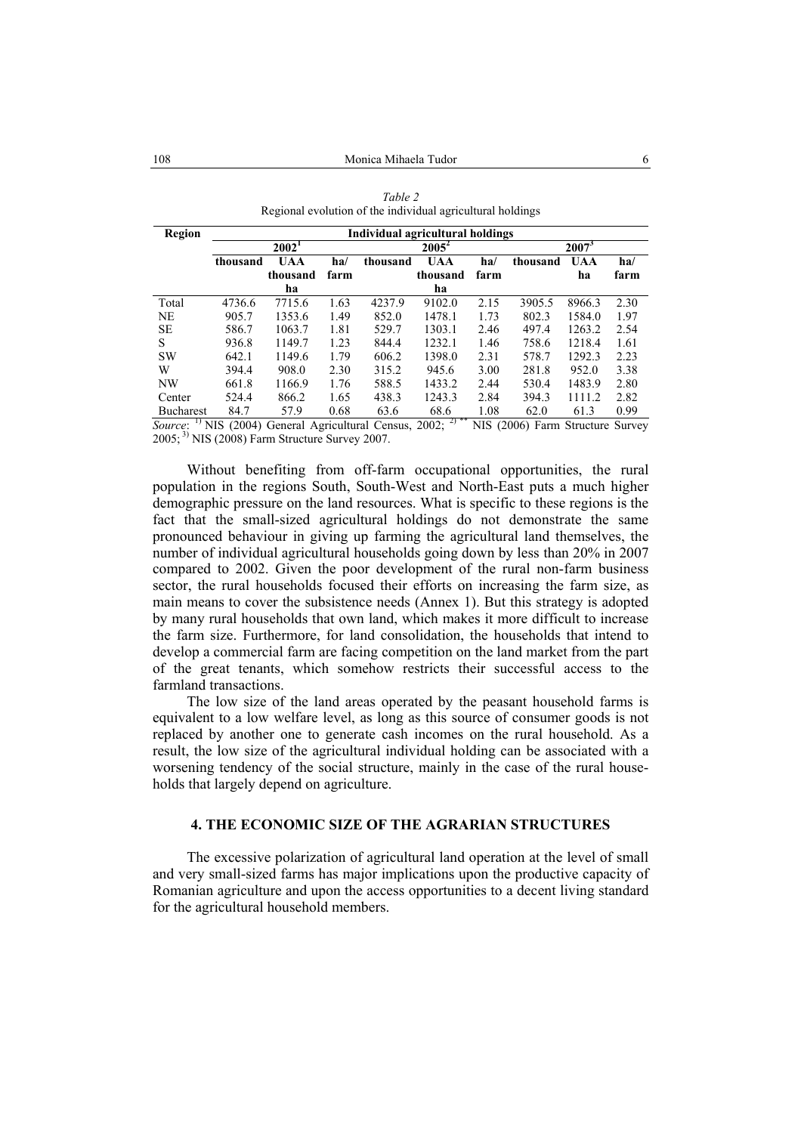| <b>Region</b>    | Individual agricultural holdings |            |      |          |            |      |          |            |      |
|------------------|----------------------------------|------------|------|----------|------------|------|----------|------------|------|
|                  | 2002 <sup>1</sup>                |            |      | $2005^2$ |            |      | $2007^3$ |            |      |
|                  | thousand                         | <b>UAA</b> | ha/  | thousand | <b>UAA</b> | ha/  | thousand | <b>UAA</b> | ha/  |
|                  |                                  | thousand   | farm |          | thousand   | farm |          | ha         | farm |
|                  |                                  | ha         |      |          | ha         |      |          |            |      |
| Total            | 4736.6                           | 7715.6     | 1.63 | 4237.9   | 9102.0     | 2.15 | 3905.5   | 8966.3     | 2.30 |
| <b>NE</b>        | 905.7                            | 1353.6     | 1.49 | 852.0    | 1478.1     | 1.73 | 802.3    | 1584.0     | 1.97 |
| <b>SE</b>        | 586.7                            | 1063.7     | 1.81 | 529.7    | 1303.1     | 2.46 | 497.4    | 1263.2     | 2.54 |
| S                | 936.8                            | 1149.7     | 1.23 | 844.4    | 1232.1     | 1.46 | 758.6    | 1218.4     | 1.61 |
| <b>SW</b>        | 642.1                            | 1149.6     | 1.79 | 606.2    | 1398.0     | 2.31 | 578.7    | 1292.3     | 2.23 |
| W                | 394.4                            | 908.0      | 2.30 | 315.2    | 945.6      | 3.00 | 281.8    | 952.0      | 3.38 |
| NW               | 661.8                            | 1166.9     | 1.76 | 588.5    | 1433.2     | 2.44 | 530.4    | 1483.9     | 2.80 |
| Center           | 524.4                            | 866.2      | 1.65 | 438.3    | 1243.3     | 2.84 | 394.3    | 1111.2     | 2.82 |
| <b>Bucharest</b> | 84.7                             | 57.9       | 0.68 | 63.6     | 68.6       | 1.08 | 62.0     | 61.3       | 0.99 |

| Table 2                                                    |
|------------------------------------------------------------|
| Regional evolution of the individual agricultural holdings |

*Source*: <sup>1)</sup> NIS (2004) General Agricultural Census, 2002; <sup>2)\*\*</sup> NIS (2006) Farm Structure Survey 2005; 3) NIS (2008) Farm Structure Survey 2007.

Without benefiting from off-farm occupational opportunities, the rural population in the regions South, South-West and North-East puts a much higher demographic pressure on the land resources. What is specific to these regions is the fact that the small-sized agricultural holdings do not demonstrate the same pronounced behaviour in giving up farming the agricultural land themselves, the number of individual agricultural households going down by less than 20% in 2007 compared to 2002. Given the poor development of the rural non-farm business sector, the rural households focused their efforts on increasing the farm size, as main means to cover the subsistence needs (Annex 1). But this strategy is adopted by many rural households that own land, which makes it more difficult to increase the farm size. Furthermore, for land consolidation, the households that intend to develop a commercial farm are facing competition on the land market from the part of the great tenants, which somehow restricts their successful access to the farmland transactions.

The low size of the land areas operated by the peasant household farms is equivalent to a low welfare level, as long as this source of consumer goods is not replaced by another one to generate cash incomes on the rural household. As a result, the low size of the agricultural individual holding can be associated with a worsening tendency of the social structure, mainly in the case of the rural households that largely depend on agriculture.

## **4. THE ECONOMIC SIZE OF THE AGRARIAN STRUCTURES**

The excessive polarization of agricultural land operation at the level of small and very small-sized farms has major implications upon the productive capacity of Romanian agriculture and upon the access opportunities to a decent living standard for the agricultural household members.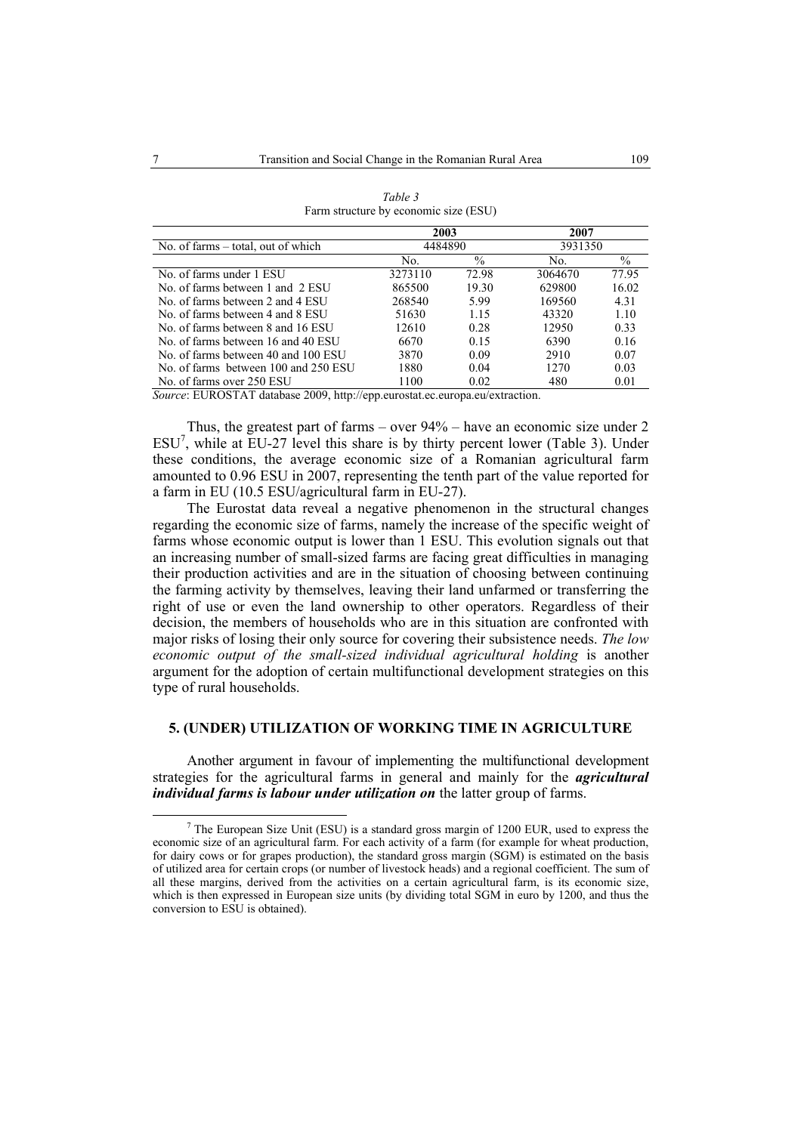|                                      | 2003    |               | 2007    |       |  |
|--------------------------------------|---------|---------------|---------|-------|--|
| No. of farms $-$ total, out of which | 4484890 |               | 3931350 |       |  |
|                                      | No.     | $\frac{0}{0}$ | No.     | $\%$  |  |
| No. of farms under 1 ESU             | 3273110 | 72.98         | 3064670 | 77.95 |  |
| No. of farms between 1 and 2 ESU     | 865500  | 19.30         | 629800  | 16.02 |  |
| No. of farms between 2 and 4 ESU     | 268540  | 5.99          | 169560  | 4.31  |  |
| No. of farms between 4 and 8 ESU     | 51630   | 1 1 5         | 43320   | 1.10  |  |
| No. of farms between 8 and 16 ESU    | 12610   | 0.28          | 12950   | 0.33  |  |
| No. of farms between 16 and 40 ESU   | 6670    | 0.15          | 6390    | 0.16  |  |
| No. of farms between 40 and 100 ESU  | 3870    | 0.09          | 2910    | 0.07  |  |
| No. of farms between 100 and 250 ESU | 1880    | 0.04          | 1270    | 0.03  |  |
| No. of farms over 250 ESU            | 1100    | 0.02          | 480     | 0.01  |  |

| Table 3                               |
|---------------------------------------|
| Farm structure by economic size (ESU) |

*Source*: EUROSTAT database 2009, http://epp.eurostat.ec.europa.eu/extraction.

Thus, the greatest part of farms – over 94% – have an economic size under 2  $ESU<sup>7</sup>$ , while at EU-27 level this share is by thirty percent lower (Table 3). Under these conditions, the average economic size of a Romanian agricultural farm amounted to 0.96 ESU in 2007, representing the tenth part of the value reported for a farm in EU (10.5 ESU/agricultural farm in EU-27).

The Eurostat data reveal a negative phenomenon in the structural changes regarding the economic size of farms, namely the increase of the specific weight of farms whose economic output is lower than 1 ESU. This evolution signals out that an increasing number of small-sized farms are facing great difficulties in managing their production activities and are in the situation of choosing between continuing the farming activity by themselves, leaving their land unfarmed or transferring the right of use or even the land ownership to other operators. Regardless of their decision, the members of households who are in this situation are confronted with major risks of losing their only source for covering their subsistence needs. *The low economic output of the small-sized individual agricultural holding* is another argument for the adoption of certain multifunctional development strategies on this type of rural households.

### **5. (UNDER) UTILIZATION OF WORKING TIME IN AGRICULTURE**

Another argument in favour of implementing the multifunctional development strategies for the agricultural farms in general and mainly for the *agricultural individual farms is labour under utilization on* the latter group of farms.

 $\frac{1}{7}$  $7$  The European Size Unit (ESU) is a standard gross margin of 1200 EUR, used to express the economic size of an agricultural farm. For each activity of a farm (for example for wheat production, for dairy cows or for grapes production), the standard gross margin (SGM) is estimated on the basis of utilized area for certain crops (or number of livestock heads) and a regional coefficient. The sum of all these margins, derived from the activities on a certain agricultural farm, is its economic size, which is then expressed in European size units (by dividing total SGM in euro by 1200, and thus the conversion to ESU is obtained).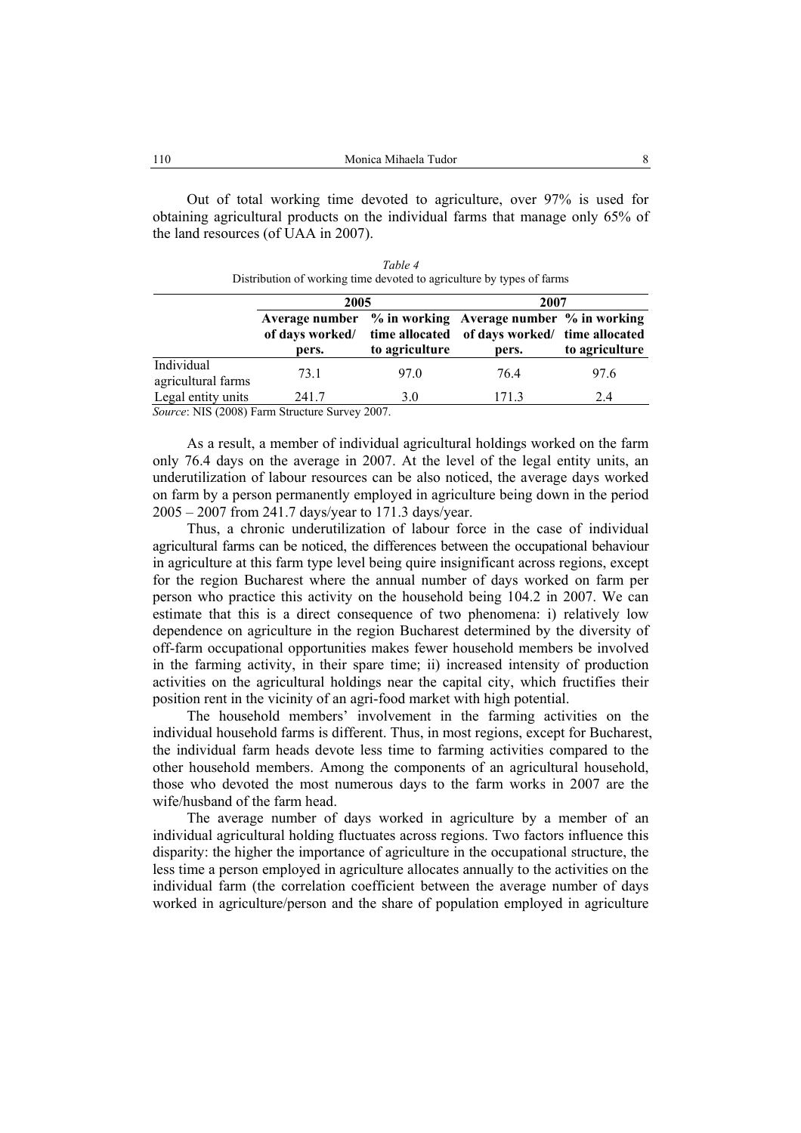Out of total working time devoted to agriculture, over 97% is used for obtaining agricultural products on the individual farms that manage only 65% of the land resources (of UAA in 2007).

| Table 4                                                               |
|-----------------------------------------------------------------------|
| Distribution of working time devoted to agriculture by types of farms |

|                                  | 2005                                                   |                                  | 2007                                                                                               |                |  |  |
|----------------------------------|--------------------------------------------------------|----------------------------------|----------------------------------------------------------------------------------------------------|----------------|--|--|
|                                  | of days worked/<br>pers.                               | time allocated<br>to agriculture | Average number % in working Average number % in working<br>of days worked/ time allocated<br>pers. | to agriculture |  |  |
| Individual<br>agricultural farms | 73.1                                                   | 97.0                             | 764                                                                                                | 97.6           |  |  |
| Legal entity units               | 241.7<br>Counsel MIC (2009) Form Structure Survey 2007 | 3.0                              | 171.3                                                                                              | 2.4            |  |  |

*Source*: NIS (2008) Farm Structure Survey 2007.

As a result, a member of individual agricultural holdings worked on the farm only 76.4 days on the average in 2007. At the level of the legal entity units, an underutilization of labour resources can be also noticed, the average days worked on farm by a person permanently employed in agriculture being down in the period 2005 – 2007 from 241.7 days/year to 171.3 days/year.

Thus, a chronic underutilization of labour force in the case of individual agricultural farms can be noticed, the differences between the occupational behaviour in agriculture at this farm type level being quire insignificant across regions, except for the region Bucharest where the annual number of days worked on farm per person who practice this activity on the household being 104.2 in 2007. We can estimate that this is a direct consequence of two phenomena: i) relatively low dependence on agriculture in the region Bucharest determined by the diversity of off-farm occupational opportunities makes fewer household members be involved in the farming activity, in their spare time; ii) increased intensity of production activities on the agricultural holdings near the capital city, which fructifies their position rent in the vicinity of an agri-food market with high potential.

The household members' involvement in the farming activities on the individual household farms is different. Thus, in most regions, except for Bucharest, the individual farm heads devote less time to farming activities compared to the other household members. Among the components of an agricultural household, those who devoted the most numerous days to the farm works in 2007 are the wife/husband of the farm head.

The average number of days worked in agriculture by a member of an individual agricultural holding fluctuates across regions. Two factors influence this disparity: the higher the importance of agriculture in the occupational structure, the less time a person employed in agriculture allocates annually to the activities on the individual farm (the correlation coefficient between the average number of days worked in agriculture/person and the share of population employed in agriculture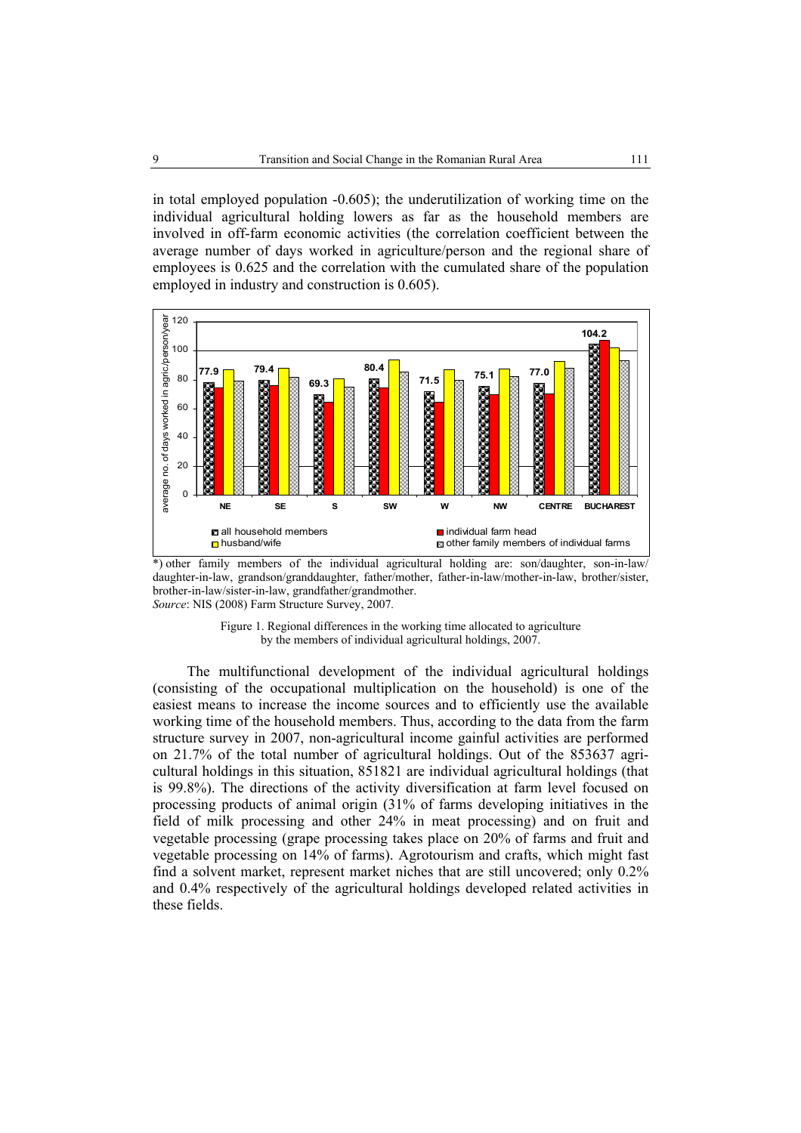in total employed population -0.605); the underutilization of working time on the individual agricultural holding lowers as far as the household members are involved in off-farm economic activities (the correlation coefficient between the average number of days worked in agriculture/person and the regional share of employees is 0.625 and the correlation with the cumulated share of the population employed in industry and construction is 0.605).



\*) other family members of the individual agricultural holding are: son/daughter, son-in-law/ daughter-in-law, grandson/granddaughter, father/mother, father-in-law/mother-in-law, brother/sister, brother-in-law/sister-in-law, grandfather/grandmother. *Source*: NIS (2008) Farm Structure Survey, 2007*.* 



The multifunctional development of the individual agricultural holdings (consisting of the occupational multiplication on the household) is one of the easiest means to increase the income sources and to efficiently use the available working time of the household members. Thus, according to the data from the farm structure survey in 2007, non-agricultural income gainful activities are performed on 21.7% of the total number of agricultural holdings. Out of the 853637 agricultural holdings in this situation, 851821 are individual agricultural holdings (that is 99.8%). The directions of the activity diversification at farm level focused on processing products of animal origin (31% of farms developing initiatives in the field of milk processing and other 24% in meat processing) and on fruit and vegetable processing (grape processing takes place on 20% of farms and fruit and vegetable processing on 14% of farms). Agrotourism and crafts, which might fast find a solvent market, represent market niches that are still uncovered; only 0.2% and 0.4% respectively of the agricultural holdings developed related activities in these fields.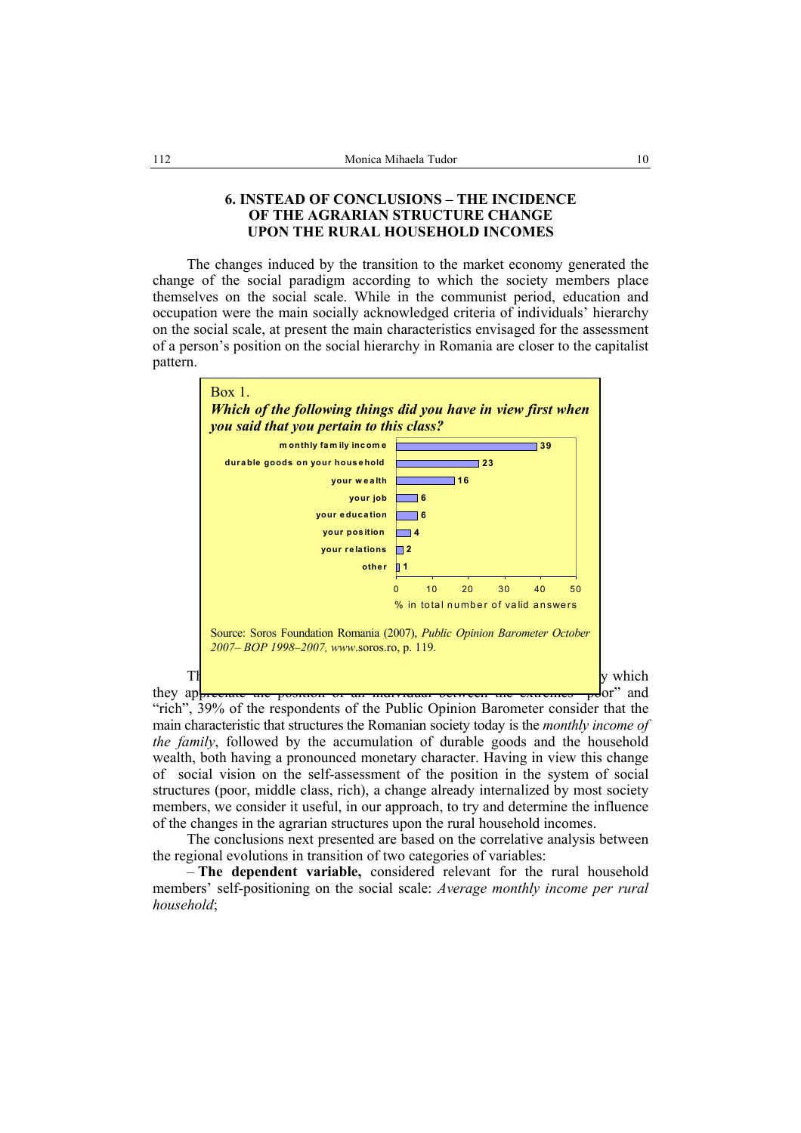## **6. INSTEAD OF CONCLUSIONS – THE INCIDENCE OF THE AGRARIAN STRUCTURE CHANGE UPON THE RURAL HOUSEHOLD INCOMES**

The changes induced by the transition to the market economy generated the change of the social paradigm according to which the society members place themselves on the social scale. While in the communist period, education and occupation were the main socially acknowledged criteria of individuals' hierarchy on the social scale, at present the main characteristics envisaged for the assessment of a person's position on the social hierarchy in Romania are closer to the capitalist pattern.



"rich", 39% of the respondents of the Public Opinion Barometer consider that the main characteristic that structures the Romanian society today is the *monthly income of the family*, followed by the accumulation of durable goods and the household wealth, both having a pronounced monetary character. Having in view this change of social vision on the self-assessment of the position in the system of social structures (poor, middle class, rich), a change already internalized by most society members, we consider it useful, in our approach, to try and determine the influence of the changes in the agrarian structures upon the rural household incomes.

The conclusions next presented are based on the correlative analysis between the regional evolutions in transition of two categories of variables:

– **The dependent variable,** considered relevant for the rural household members' self-positioning on the social scale: *Average monthly income per rural household*;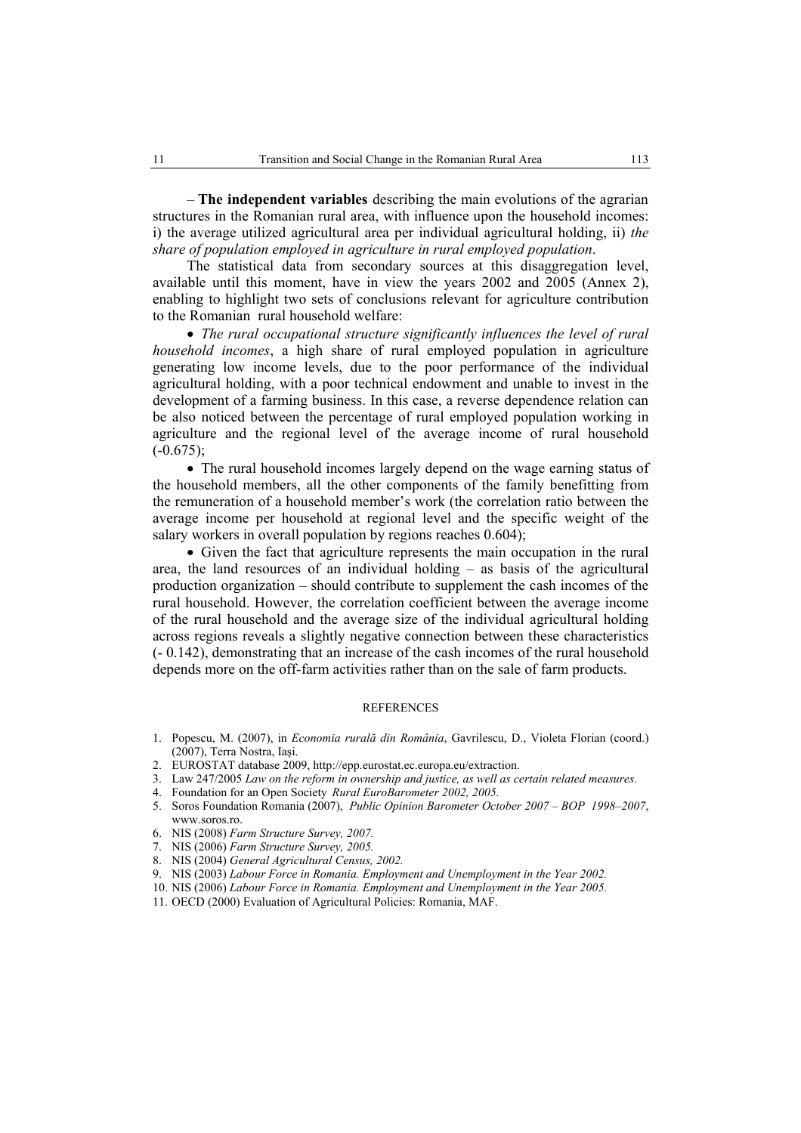– **The independent variables** describing the main evolutions of the agrarian structures in the Romanian rural area, with influence upon the household incomes: i) the average utilized agricultural area per individual agricultural holding, ii) *the share of population employed in agriculture in rural employed population*.

The statistical data from secondary sources at this disaggregation level, available until this moment, have in view the years 2002 and 2005 (Annex 2), enabling to highlight two sets of conclusions relevant for agriculture contribution to the Romanian rural household welfare:

• *The rural occupational structure significantly influences the level of rural household incomes*, a high share of rural employed population in agriculture generating low income levels, due to the poor performance of the individual agricultural holding, with a poor technical endowment and unable to invest in the development of a farming business. In this case, a reverse dependence relation can be also noticed between the percentage of rural employed population working in agriculture and the regional level of the average income of rural household  $(-0.675)$ ;

• The rural household incomes largely depend on the wage earning status of the household members, all the other components of the family benefitting from the remuneration of a household member's work (the correlation ratio between the average income per household at regional level and the specific weight of the salary workers in overall population by regions reaches 0.604);

• Given the fact that agriculture represents the main occupation in the rural area, the land resources of an individual holding – as basis of the agricultural production organization – should contribute to supplement the cash incomes of the rural household. However, the correlation coefficient between the average income of the rural household and the average size of the individual agricultural holding across regions reveals a slightly negative connection between these characteristics (- 0.142), demonstrating that an increase of the cash incomes of the rural household depends more on the off-farm activities rather than on the sale of farm products.

#### **REFERENCES**

- 1. Popescu, M. (2007), in *Economia rurală din România*, Gavrilescu, D., Violeta Florian (coord.) (2007), Terra Nostra, Iaşi.
- 2. EUROSTAT database 2009, http://epp.eurostat.ec.europa.eu/extraction.
- 3. Law 247/2005 *Law on the reform in ownership and justice, as well as certain related measures.*
- 4. Foundation for an Open Society *Rural EuroBarometer 2002, 2005.*
- 5. Soros Foundation Romania (2007), *Public Opinion Barometer October 2007 BOP 1998–2007*, www.soros.ro.
- 6. NIS (2008) *Farm Structure Survey, 2007.*
- 7. NIS (2006) *Farm Structure Survey, 2005.*
- 8. NIS (2004) *General Agricultural Census, 2002.*
- 9. NIS (2003) *Labour Force in Romania. Employment and Unemployment in the Year 2002.*
- 10. NIS (2006) *Labour Force in Romania. Employment and Unemployment in the Year 2005.*
- 11. OECD (2000) Evaluation of Agricultural Policies: Romania, MAF.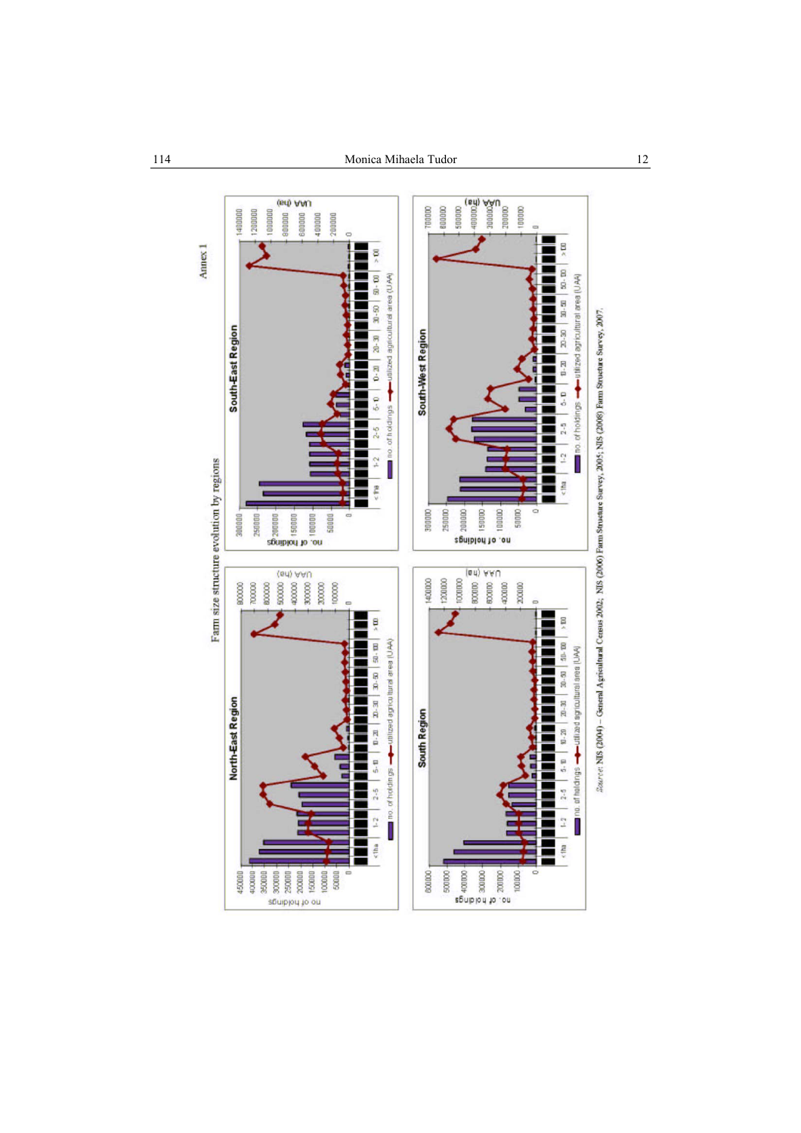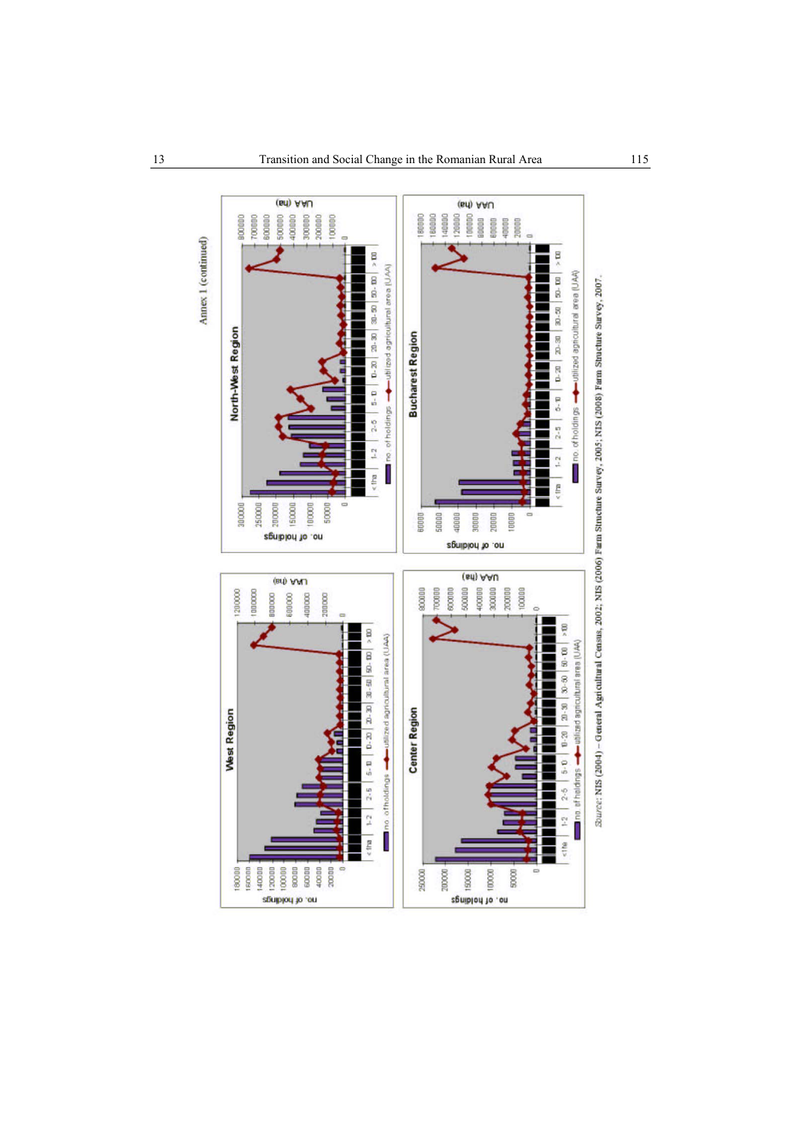